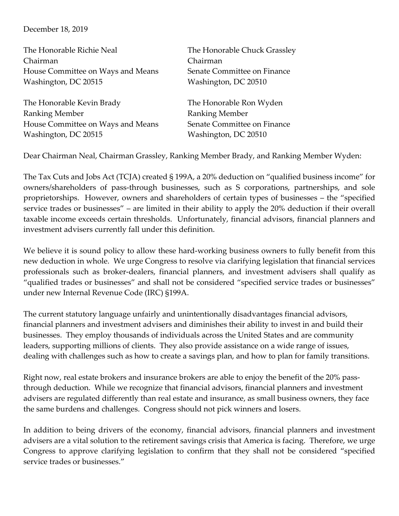## December 18, 2019

| The Honorable Richie Neal         | The Honorable Chuck Grassley |
|-----------------------------------|------------------------------|
| Chairman                          | Chairman                     |
| House Committee on Ways and Means | Senate Committee on Finance  |
| Washington, DC 20515              | Washington, DC 20510         |
|                                   |                              |
| The Honorable Kevin Brady         | The Honorable Ron Wyden      |
| Ranking Member                    | <b>Ranking Member</b>        |
| House Committee on Ways and Means | Senate Committee on Finance  |
| Washington, DC 20515              | Washington, DC 20510         |
|                                   |                              |

Dear Chairman Neal, Chairman Grassley, Ranking Member Brady, and Ranking Member Wyden:

The Tax Cuts and Jobs Act (TCJA) created § 199A, a 20% deduction on "qualified business income" for owners/shareholders of pass-through businesses, such as S corporations, partnerships, and sole proprietorships. However, owners and shareholders of certain types of businesses – the "specified service trades or businesses" – are limited in their ability to apply the 20% deduction if their overall taxable income exceeds certain thresholds. Unfortunately, financial advisors, financial planners and investment advisers currently fall under this definition.

We believe it is sound policy to allow these hard-working business owners to fully benefit from this new deduction in whole. We urge Congress to resolve via clarifying legislation that financial services professionals such as broker-dealers, financial planners, and investment advisers shall qualify as "qualified trades or businesses" and shall not be considered "specified service trades or businesses" under new Internal Revenue Code (IRC) §199A.

The current statutory language unfairly and unintentionally disadvantages financial advisors, financial planners and investment advisers and diminishes their ability to invest in and build their businesses. They employ thousands of individuals across the United States and are community leaders, supporting millions of clients. They also provide assistance on a wide range of issues, dealing with challenges such as how to create a savings plan, and how to plan for family transitions.

Right now, real estate brokers and insurance brokers are able to enjoy the benefit of the 20% passthrough deduction. While we recognize that financial advisors, financial planners and investment advisers are regulated differently than real estate and insurance, as small business owners, they face the same burdens and challenges. Congress should not pick winners and losers.

In addition to being drivers of the economy, financial advisors, financial planners and investment advisers are a vital solution to the retirement savings crisis that America is facing. Therefore, we urge Congress to approve clarifying legislation to confirm that they shall not be considered "specified service trades or businesses."